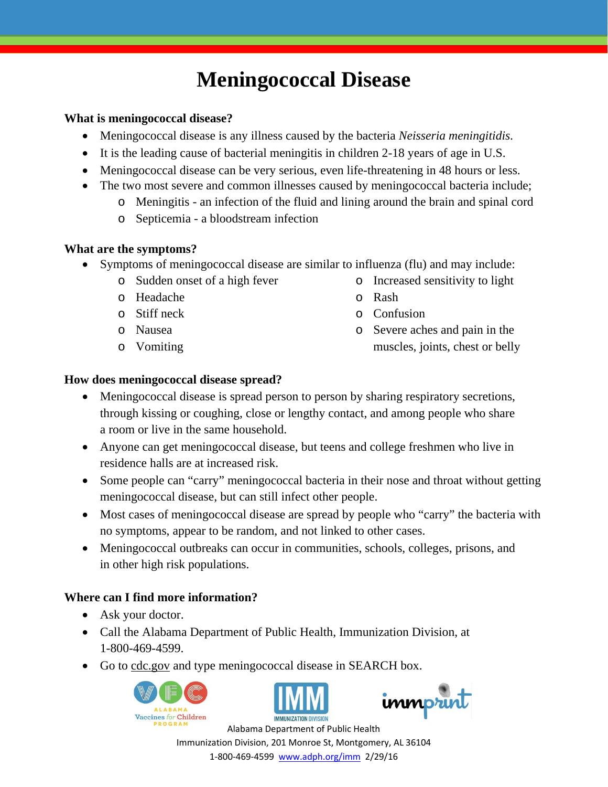# **Meningococcal Disease**

#### **What is meningococcal disease?**

- Meningococcal disease is any illness caused by the bacteria *Neisseria meningitidis*.
- It is the leading cause of bacterial meningitis in children 2-18 years of age in U.S.
- Meningococcal disease can be very serious, even life-threatening in 48 hours or less.
- The two most severe and common illnesses caused by meningococcal bacteria include;
	- o Meningitis an infection of the fluid and lining around the brain and spinal cord
	- o Septicemia a bloodstream infection

# **What are the symptoms?**

- Symptoms of meningococcal disease are similar to influenza (flu) and may include:
	- o Sudden onset of a high fever o Increased sensitivity to light
	- o Headache o Rash
	-
	- o Nausea
	- o Vomiting
- 
- 
- o Stiff neck o Confusion
	- o Severe aches and pain in the muscles, joints, chest or belly

# **How does meningococcal disease spread?**

- Meningococcal disease is spread person to person by sharing respiratory secretions, through kissing or coughing, close or lengthy contact, and among people who share a room or live in the same household.
- Anyone can get meningococcal disease, but teens and college freshmen who live in residence halls are at increased risk.
- Some people can "carry" meningococcal bacteria in their nose and throat without getting meningococcal disease, but can still infect other people.
- Most cases of meningococcal disease are spread by people who "carry" the bacteria with no symptoms, appear to be random, and not linked to other cases.
- Meningococcal outbreaks can occur in communities, schools, colleges, prisons, and in other high risk populations.

# **Where can I find more information?**

- Ask your doctor.
- Call the Alabama Department of Public Health, Immunization Division, at 1-800-469-4599.
- Go to cdc.gov and type meningococcal disease in SEARCH box.







Alabama Department of Public Health Immunization Division, 201 Monroe St, Montgomery, AL 36104 1‐800‐469‐4599 www.adph.org/imm 2/29/16